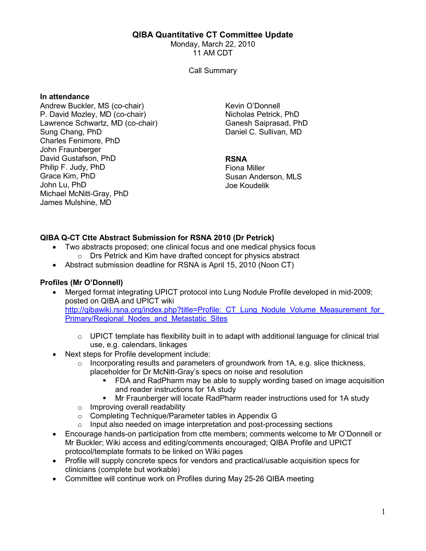## QIBA Quantitative CT Committee Update

Monday, March 22, 2010 11 AM CDT

Call Summary

#### In attendance

Andrew Buckler, MS (co-chair) P. David Mozley, MD (co-chair) Lawrence Schwartz, MD (co-chair) Sung Chang, PhD Charles Fenimore, PhD John Fraunberger David Gustafson, PhD Philip F. Judy, PhD Grace Kim, PhD John Lu, PhD Michael McNitt-Gray, PhD James Mulshine, MD

Kevin O'Donnell Nicholas Petrick, PhD Ganesh Saiprasad, PhD Daniel C. Sullivan, MD

### RSNA

Fiona Miller Susan Anderson, MLS Joe Koudelik

# QIBA Q-CT Ctte Abstract Submission for RSNA 2010 (Dr Petrick)

- Two abstracts proposed; one clinical focus and one medical physics focus o Drs Petrick and Kim have drafted concept for physics abstract
- Abstract submission deadline for RSNA is April 15, 2010 (Noon CT)

## Profiles (Mr O'Donnell)

- Merged format integrating UPICT protocol into Lung Nodule Profile developed in mid-2009; posted on QIBA and UPICT wiki http://qibawiki.rsna.org/index.php?title=Profile: CT\_Lung\_Nodule\_Volume\_Measurement\_for Primary/Regional Nodes and Metastatic Sites
	- $\circ$  UPICT template has flexibility built in to adapt with additional language for clinical trial use, e.g. calendars, linkages
- Next steps for Profile development include:
	- $\circ$  Incorporating results and parameters of groundwork from 1A, e.g. slice thickness, placeholder for Dr McNitt-Gray's specs on noise and resolution
		- FDA and RadPharm may be able to supply wording based on image acquisition and reader instructions for 1A study
		- Mr Fraunberger will locate RadPharm reader instructions used for 1A study
	- o Improving overall readability
	- o Completing Technique/Parameter tables in Appendix G
	- o Input also needed on image interpretation and post-processing sections
- Encourage hands-on participation from ctte members; comments welcome to Mr O'Donnell or Mr Buckler; Wiki access and editing/comments encouraged; QIBA Profile and UPICT protocol/template formats to be linked on Wiki pages
- Profile will supply concrete specs for vendors and practical/usable acquisition specs for clinicians (complete but workable)
- Committee will continue work on Profiles during May 25-26 QIBA meeting